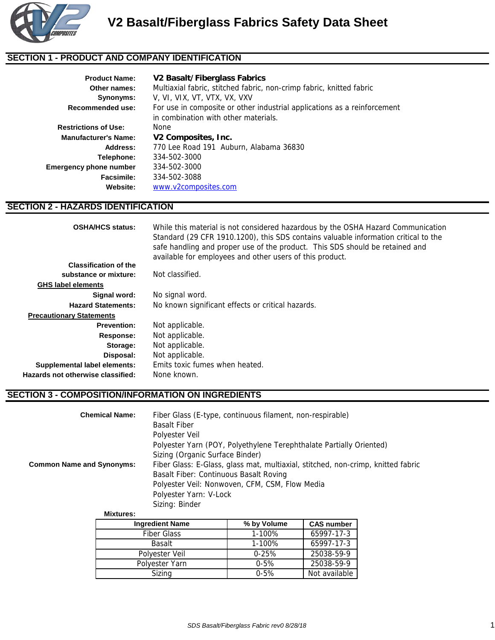

# **SECTION 1 - PRODUCT AND COMPANY IDENTIFICATION**

| <b>Product Name:</b><br>Other names: | V2 Basalt/Fiberglass Fabrics<br>Multiaxial fabric, stitched fabric, non-crimp fabric, knitted fabric |  |  |  |
|--------------------------------------|------------------------------------------------------------------------------------------------------|--|--|--|
| Synonyms:                            | V, VI, VIX, VT, VTX, VX, VXV                                                                         |  |  |  |
| Recommended use:                     | For use in composite or other industrial applications as a reinforcement                             |  |  |  |
|                                      | in combination with other materials.                                                                 |  |  |  |
| <b>Restrictions of Use:</b>          | None                                                                                                 |  |  |  |
| <b>Manufacturer's Name:</b>          | V2 Composites, Inc.                                                                                  |  |  |  |
| Address:                             | 770 Lee Road 191 Auburn, Alabama 36830                                                               |  |  |  |
| Telephone:                           | 334-502-3000                                                                                         |  |  |  |
| <b>Emergency phone number</b>        | 334-502-3000                                                                                         |  |  |  |
| Facsimile:                           | 334-502-3088                                                                                         |  |  |  |
| Website:                             | www.v2composites.com                                                                                 |  |  |  |

# **SECTION 2 - HAZARDS IDENTIFICATION**

| <b>OSHA/HCS status:</b>           | While this material is not considered hazardous by the OSHA Hazard Communication<br>Standard (29 CFR 1910.1200), this SDS contains valuable information critical to the<br>safe handling and proper use of the product. This SDS should be retained and<br>available for employees and other users of this product. |
|-----------------------------------|---------------------------------------------------------------------------------------------------------------------------------------------------------------------------------------------------------------------------------------------------------------------------------------------------------------------|
| <b>Classification of the</b>      |                                                                                                                                                                                                                                                                                                                     |
| substance or mixture:             | Not classified.                                                                                                                                                                                                                                                                                                     |
| <b>GHS label elements</b>         |                                                                                                                                                                                                                                                                                                                     |
| Signal word:                      | No signal word.                                                                                                                                                                                                                                                                                                     |
| <b>Hazard Statements:</b>         | No known significant effects or critical hazards.                                                                                                                                                                                                                                                                   |
| <b>Precautionary Statements</b>   |                                                                                                                                                                                                                                                                                                                     |
| <b>Prevention:</b>                | Not applicable.                                                                                                                                                                                                                                                                                                     |
| Response:                         | Not applicable.                                                                                                                                                                                                                                                                                                     |
| Storage:                          | Not applicable.                                                                                                                                                                                                                                                                                                     |
| Disposal:                         | Not applicable.                                                                                                                                                                                                                                                                                                     |
| Supplemental label elements:      | Emits toxic fumes when heated.                                                                                                                                                                                                                                                                                      |
| Hazards not otherwise classified: | None known.                                                                                                                                                                                                                                                                                                         |

#### **SECTION 3 - COMPOSITION/INFORMATION ON INGREDIENTS**

| <b>Chemical Name:</b>            | Fiber Glass (E-type, continuous filament, non-respirable)<br><b>Basalt Fiber</b><br>Polyester Veil<br>Polyester Yarn (POY, Polyethylene Terephthalate Partially Oriented)<br>Sizing (Organic Surface Binder)             |
|----------------------------------|--------------------------------------------------------------------------------------------------------------------------------------------------------------------------------------------------------------------------|
| <b>Common Name and Synonyms:</b> | Fiber Glass: E-Glass, glass mat, multiaxial, stitched, non-crimp, knitted fabric<br>Basalt Fiber: Continuous Basalt Roving<br>Polyester Veil: Nonwoven, CFM, CSM, Flow Media<br>Polyester Yarn: V-Lock<br>Sizing: Binder |

**Mixtures:**

| <b>Ingredient Name</b> | % by Volume | <b>CAS number</b> |
|------------------------|-------------|-------------------|
| <b>Fiber Glass</b>     | 1-100%      | 65997-17-3        |
| <b>Basalt</b>          | 1-100%      | 65997-17-3        |
| Polyester Veil         | $0 - 25%$   | 25038-59-9        |
| Polyester Yarn         | $0 - 5%$    | 25038-59-9        |
| Sizing                 | $0 - 5%$    | Not available     |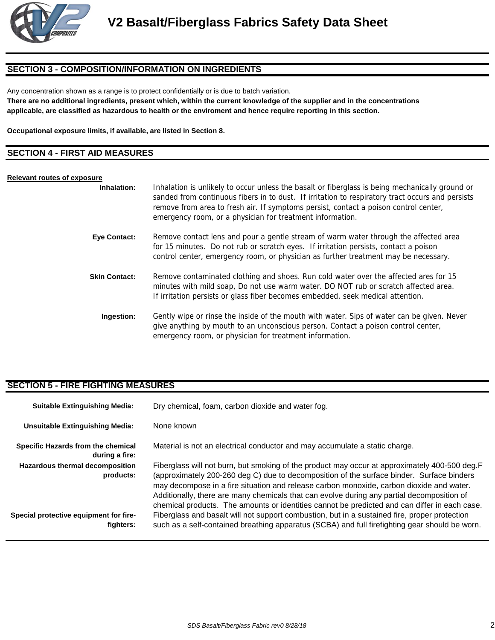

# **SECTION 3 - COMPOSITION/INFORMATION ON INGREDIENTS**

Any concentration shown as a range is to protect confidentially or is due to batch variation.

**There are no additional ingredients, present which, within the current knowledge of the supplier and in the concentrations applicable, are classified as hazardous to health or the enviroment and hence require reporting in this section.**

**Occupational exposure limits, if available, are listed in Section 8.**

#### **SECTION 4 - FIRST AID MEASURES**

#### **Relevant routes of exposure**

| Inhalation:          | Inhalation is unlikely to occur unless the basalt or fiberglass is being mechanically ground or<br>sanded from continuous fibers in to dust. If irritation to respiratory tract occurs and persists<br>remove from area to fresh air. If symptoms persist, contact a poison control center,<br>emergency room, or a physician for treatment information. |
|----------------------|----------------------------------------------------------------------------------------------------------------------------------------------------------------------------------------------------------------------------------------------------------------------------------------------------------------------------------------------------------|
| <b>Eye Contact:</b>  | Remove contact lens and pour a gentle stream of warm water through the affected area<br>for 15 minutes. Do not rub or scratch eyes. If irritation persists, contact a poison<br>control center, emergency room, or physician as further treatment may be necessary.                                                                                      |
| <b>Skin Contact:</b> | Remove contaminated clothing and shoes. Run cold water over the affected ares for 15<br>minutes with mild soap, Do not use warm water. DO NOT rub or scratch affected area.<br>If irritation persists or glass fiber becomes embedded, seek medical attention.                                                                                           |
| Ingestion:           | Gently wipe or rinse the inside of the mouth with water. Sips of water can be given. Never<br>give anything by mouth to an unconscious person. Contact a poison control center,<br>emergency room, or physician for treatment information.                                                                                                               |

### **SECTION 5 - FIRE FIGHTING MEASURES**

| <b>Suitable Extinguishing Media:</b>                 | Dry chemical, foam, carbon dioxide and water fog.                                                                                                                                                                                                                                                                                                                                                                                                                                     |  |  |
|------------------------------------------------------|---------------------------------------------------------------------------------------------------------------------------------------------------------------------------------------------------------------------------------------------------------------------------------------------------------------------------------------------------------------------------------------------------------------------------------------------------------------------------------------|--|--|
| <b>Unsuitable Extinguishing Media:</b>               | None known                                                                                                                                                                                                                                                                                                                                                                                                                                                                            |  |  |
| Specific Hazards from the chemical<br>during a fire: | Material is not an electrical conductor and may accumulate a static charge.                                                                                                                                                                                                                                                                                                                                                                                                           |  |  |
| Hazardous thermal decomposition<br>products:         | Fiberglass will not burn, but smoking of the product may occur at approximately 400-500 deg.F<br>(approximately 200-260 deg C) due to decomposition of the surface binder. Surface binders<br>may decompose in a fire situation and release carbon monoxide, carbon dioxide and water.<br>Additionally, there are many chemicals that can evolve during any partial decomposition of<br>chemical products. The amounts or identities cannot be predicted and can differ in each case. |  |  |
| Special protective equipment for fire-<br>fighters:  | Fiberglass and basalt will not support combustion, but in a sustained fire, proper protection<br>such as a self-contained breathing apparatus (SCBA) and full firefighting gear should be worn.                                                                                                                                                                                                                                                                                       |  |  |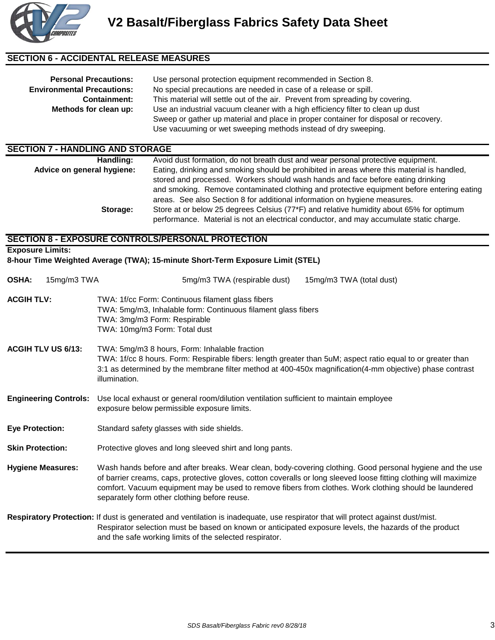

# **SECTION 6 - ACCIDENTAL RELEASE MEASURES**

| <b>Personal Precautions:</b><br><b>Environmental Precautions:</b><br><b>Containment:</b><br>Methods for clean up: | Use personal protection equipment recommended in Section 8.<br>No special precautions are needed in case of a release or spill.<br>This material will settle out of the air. Prevent from spreading by covering.<br>Use an industrial vacuum cleaner with a high efficiency filter to clean up dust<br>Sweep or gather up material and place in proper container for disposal or recovery.<br>Use vacuuming or wet sweeping methods instead of dry sweeping. |  |
|-------------------------------------------------------------------------------------------------------------------|--------------------------------------------------------------------------------------------------------------------------------------------------------------------------------------------------------------------------------------------------------------------------------------------------------------------------------------------------------------------------------------------------------------------------------------------------------------|--|
| <b>SECTION 7 - HANDLING AND STORAGE</b>                                                                           |                                                                                                                                                                                                                                                                                                                                                                                                                                                              |  |
| Handling:<br>Advice on general hygiene:                                                                           | Avoid dust formation, do not breath dust and wear personal protective equipment.<br>Eating, drinking and smoking should be prohibited in areas where this material is handled,                                                                                                                                                                                                                                                                               |  |
|                                                                                                                   | stored and processed. Workers should wash hands and face before eating drinking<br>and smoking. Remove contaminated clothing and protective equipment before entering eating                                                                                                                                                                                                                                                                                 |  |

areas. See also Section 8 for additional information on hygiene measures. Store at or below 25 degrees Celsius (77\*F) and relative humidity about 65% for optimum performance. Material is not an electrical conductor, and may accumulate static charge. **Storage:** 

# **SECTION 8 - EXPOSURE CONTROLS/PERSONAL PROTECTION**

**Exposure Limits:**

**8-hour Time Weighted Average (TWA); 15-minute Short-Term Exposure Limit (STEL)**

| <b>OSHA:</b>              | 15mg/m3 TWA                  |                                                                                                                                                                                                                                                                                                                                                                                          | 5mg/m3 TWA (respirable dust)                                  | 15mg/m3 TWA (total dust)                                                                                                                                                                                                                  |  |  |
|---------------------------|------------------------------|------------------------------------------------------------------------------------------------------------------------------------------------------------------------------------------------------------------------------------------------------------------------------------------------------------------------------------------------------------------------------------------|---------------------------------------------------------------|-------------------------------------------------------------------------------------------------------------------------------------------------------------------------------------------------------------------------------------------|--|--|
| <b>ACGIH TLV:</b>         |                              | TWA: 1f/cc Form: Continuous filament glass fibers<br>TWA: 3mg/m3 Form: Respirable<br>TWA: 10mg/m3 Form: Total dust                                                                                                                                                                                                                                                                       | TWA: 5mg/m3, Inhalable form: Continuous filament glass fibers |                                                                                                                                                                                                                                           |  |  |
| <b>ACGIH TLV US 6/13:</b> |                              | TWA: 5mg/m3 8 hours, Form: Inhalable fraction<br>TWA: 1f/cc 8 hours. Form: Respirable fibers: length greater than 5uM; aspect ratio equal to or greater than<br>3:1 as determined by the membrane filter method at 400-450x magnification(4-mm objective) phase contrast<br>illumination.                                                                                                |                                                               |                                                                                                                                                                                                                                           |  |  |
|                           | <b>Engineering Controls:</b> | Use local exhaust or general room/dilution ventilation sufficient to maintain employee<br>exposure below permissible exposure limits.                                                                                                                                                                                                                                                    |                                                               |                                                                                                                                                                                                                                           |  |  |
| <b>Eye Protection:</b>    |                              | Standard safety glasses with side shields.                                                                                                                                                                                                                                                                                                                                               |                                                               |                                                                                                                                                                                                                                           |  |  |
| <b>Skin Protection:</b>   |                              | Protective gloves and long sleeved shirt and long pants.                                                                                                                                                                                                                                                                                                                                 |                                                               |                                                                                                                                                                                                                                           |  |  |
| <b>Hygiene Measures:</b>  |                              | Wash hands before and after breaks. Wear clean, body-covering clothing. Good personal hygiene and the use<br>of barrier creams, caps, protective gloves, cotton coveralls or long sleeved loose fitting clothing will maximize<br>comfort. Vacuum equipment may be used to remove fibers from clothes. Work clothing should be laundered<br>separately form other clothing before reuse. |                                                               |                                                                                                                                                                                                                                           |  |  |
|                           |                              |                                                                                                                                                                                                                                                                                                                                                                                          | and the safe working limits of the selected respirator.       | Respiratory Protection: If dust is generated and ventilation is inadequate, use respirator that will protect against dust/mist.<br>Respirator selection must be based on known or anticipated exposure levels, the hazards of the product |  |  |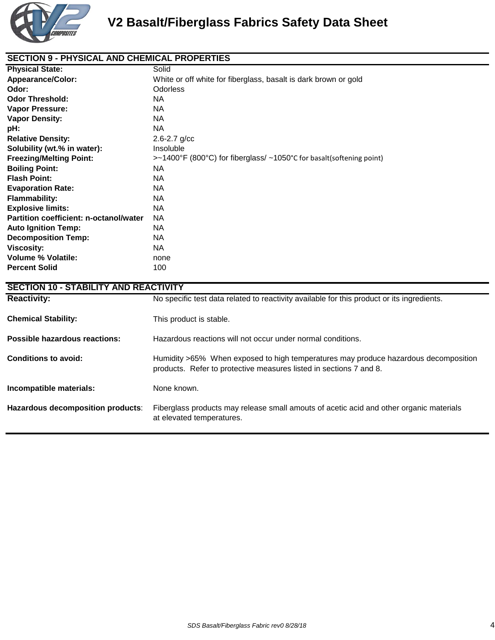

## **SECTION 9 - PHYSICAL AND CHEMICAL PROPERTIES**

| <b>Physical State:</b>                 | Solid                                                                |
|----------------------------------------|----------------------------------------------------------------------|
| <b>Appearance/Color:</b>               | White or off white for fiberglass, basalt is dark brown or gold      |
| Odor:                                  | Odorless                                                             |
| <b>Odor Threshold:</b>                 | NA.                                                                  |
| <b>Vapor Pressure:</b>                 | NA.                                                                  |
| <b>Vapor Density:</b>                  | NA.                                                                  |
| pH:                                    | NA.                                                                  |
| <b>Relative Density:</b>               | $2.6 - 2.7$ g/cc                                                     |
| Solubility (wt.% in water):            | Insoluble                                                            |
| <b>Freezing/Melting Point:</b>         | >~1400°F (800°C) for fiberglass/ ~1050°C for basalt(softening point) |
| <b>Boiling Point:</b>                  | NA.                                                                  |
| <b>Flash Point:</b>                    | NA.                                                                  |
| <b>Evaporation Rate:</b>               | NA.                                                                  |
| <b>Flammability:</b>                   | NA.                                                                  |
| <b>Explosive limits:</b>               | NA.                                                                  |
| Partition coefficient: n-octanol/water | <b>NA</b>                                                            |
| <b>Auto Ignition Temp:</b>             | NA.                                                                  |
| <b>Decomposition Temp:</b>             | NA.                                                                  |
| <b>Viscosity:</b>                      | NA.                                                                  |
| <b>Volume % Volatile:</b>              | none                                                                 |
| <b>Percent Solid</b>                   | 100                                                                  |

| <b>SECTION 10 - STABILITY AND REACTIVITY</b> |                                                                                                                                                           |  |
|----------------------------------------------|-----------------------------------------------------------------------------------------------------------------------------------------------------------|--|
| <b>Reactivity:</b>                           | No specific test data related to reactivity available for this product or its ingredients.                                                                |  |
| <b>Chemical Stability:</b>                   | This product is stable.                                                                                                                                   |  |
| Possible hazardous reactions:                | Hazardous reactions will not occur under normal conditions.                                                                                               |  |
| Conditions to avoid:                         | Humidity >65% When exposed to high temperatures may produce hazardous decomposition<br>products. Refer to protective measures listed in sections 7 and 8. |  |
| Incompatible materials:                      | None known.                                                                                                                                               |  |
| Hazardous decomposition products:            | Fiberglass products may release small amouts of acetic acid and other organic materials<br>at elevated temperatures.                                      |  |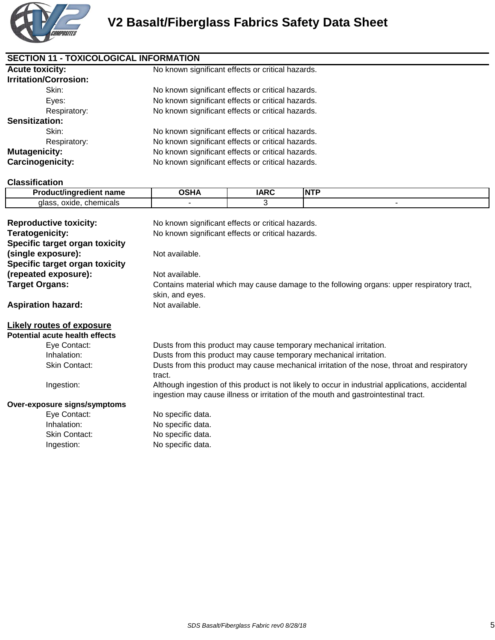

| <b>Acute toxicity:</b>       | No known significant effects or critical hazards. |  |
|------------------------------|---------------------------------------------------|--|
| <b>Irritation/Corrosion:</b> |                                                   |  |
| Skin:                        | No known significant effects or critical hazards. |  |
| Eyes:                        | No known significant effects or critical hazards. |  |
| Respiratory:                 | No known significant effects or critical hazards. |  |
| <b>Sensitization:</b>        |                                                   |  |
| Skin:                        | No known significant effects or critical hazards. |  |
| Respiratory:                 | No known significant effects or critical hazards. |  |
| <b>Mutagenicity:</b>         | No known significant effects or critical hazards. |  |
| Carcinogenicity:             | No known significant effects or critical hazards. |  |

### **Classification**

| $  -$<br><br>name.          | ים ה<br>A | .<br>IN |
|-----------------------------|-----------|---------|
| chemicals<br>oxide<br>qlass |           |         |

| <b>Reproductive toxicity:</b><br>Teratogenicity:     | No known significant effects or critical hazards.<br>No known significant effects or critical hazards.                                                                                 |
|------------------------------------------------------|----------------------------------------------------------------------------------------------------------------------------------------------------------------------------------------|
| Specific target organ toxicity<br>(single exposure): | Not available.                                                                                                                                                                         |
| Specific target organ toxicity                       |                                                                                                                                                                                        |
| (repeated exposure):                                 | Not available.                                                                                                                                                                         |
| Target Organs:                                       | Contains material which may cause damage to the following organs: upper respiratory tract,<br>skin, and eyes.                                                                          |
| <b>Aspiration hazard:</b>                            | Not available.                                                                                                                                                                         |
| Likely routes of exposure                            |                                                                                                                                                                                        |
| Potential acute health effects                       |                                                                                                                                                                                        |
| Eye Contact:                                         | Dusts from this product may cause temporary mechanical irritation.                                                                                                                     |
| Inhalation:                                          | Dusts from this product may cause temporary mechanical irritation.                                                                                                                     |
| Skin Contact:                                        | Dusts from this product may cause mechanical irritation of the nose, throat and respiratory<br>tract.                                                                                  |
| Ingestion:                                           | Although ingestion of this product is not likely to occur in industrial applications, accidental<br>ingestion may cause illness or irritation of the mouth and gastrointestinal tract. |
| Over-exposure signs/symptoms                         |                                                                                                                                                                                        |
| Eye Contact:                                         | No specific data.                                                                                                                                                                      |
| Inhalation:                                          | No specific data.                                                                                                                                                                      |
| <b>Skin Contact:</b>                                 | No specific data.                                                                                                                                                                      |
| Ingestion:                                           | No specific data.                                                                                                                                                                      |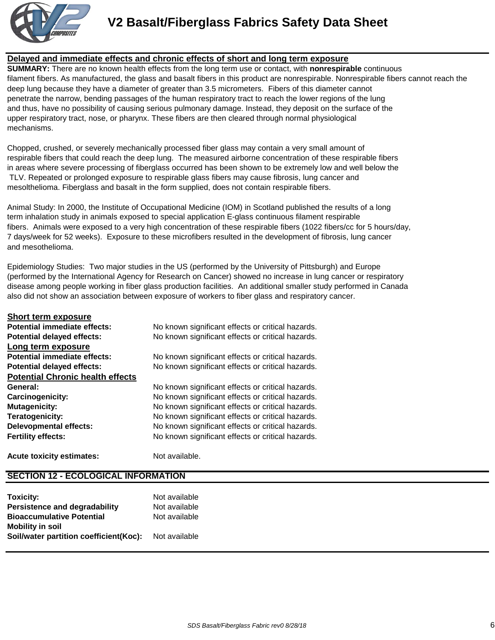

**V2 Basalt/Fiberglass Fabrics Safety Data Sheet**

### **Delayed and immediate effects and chronic effects of short and long term exposure**

**SUMMARY:** There are no known health effects from the long term use or contact, with **nonrespirable** continuous filament fibers. As manufactured, the glass and basalt fibers in this product are nonrespirable. Nonrespirable fibers cannot reach the deep lung because they have a diameter of greater than 3.5 micrometers. Fibers of this diameter cannot penetrate the narrow, bending passages of the human respiratory tract to reach the lower regions of the lung and thus, have no possibility of causing serious pulmonary damage. Instead, they deposit on the surface of the upper respiratory tract, nose, or pharynx. These fibers are then cleared through normal physiological mechanisms.

Chopped, crushed, or severely mechanically processed fiber glass may contain a very small amount of respirable fibers that could reach the deep lung. The measured airborne concentration of these respirable fibers in areas where severe processing of fiberglass occurred has been shown to be extremely low and well below the TLV. Repeated or prolonged exposure to respirable glass fibers may cause fibrosis, lung cancer and mesolthelioma. Fiberglass and basalt in the form supplied, does not contain respirable fibers.

Animal Study: In 2000, the Institute of Occupational Medicine (IOM) in Scotland published the results of a long term inhalation study in animals exposed to special application E-glass continuous filament respirable fibers. Animals were exposed to a very high concentration of these respirable fibers (1022 fibers/cc for 5 hours/day, 7 days/week for 52 weeks). Exposure to these microfibers resulted in the development of fibrosis, lung cancer and mesothelioma.

Epidemiology Studies: Two major studies in the US (performed by the University of Pittsburgh) and Europe (performed by the International Agency for Research on Cancer) showed no increase in lung cancer or respiratory disease among people working in fiber glass production facilities. An additional smaller study performed in Canada also did not show an association between exposure of workers to fiber glass and respiratory cancer.

| <b>Short term exposure</b>              |                                                   |
|-----------------------------------------|---------------------------------------------------|
| Potential immediate effects:            | No known significant effects or critical hazards. |
| <b>Potential delayed effects:</b>       | No known significant effects or critical hazards. |
| Long term exposure                      |                                                   |
| Potential immediate effects:            | No known significant effects or critical hazards. |
| <b>Potential delayed effects:</b>       | No known significant effects or critical hazards. |
| <b>Potential Chronic health effects</b> |                                                   |
| General:                                | No known significant effects or critical hazards. |
| Carcinogenicity:                        | No known significant effects or critical hazards. |
| <b>Mutagenicity:</b>                    | No known significant effects or critical hazards. |
| Teratogenicity:                         | No known significant effects or critical hazards. |
| <b>Delevopmental effects:</b>           | No known significant effects or critical hazards. |
| <b>Fertility effects:</b>               | No known significant effects or critical hazards. |
|                                         |                                                   |

# **Acute toxicity estimates:** Not available.

**SECTION 12 - ECOLOGICAL INFORMATION**

| Toxicity:                              | Not available |
|----------------------------------------|---------------|
| <b>Persistence and degradability</b>   | Not available |
| <b>Bioaccumulative Potential</b>       | Not available |
| <b>Mobility in soil</b>                |               |
| Soil/water partition coefficient(Koc): | Not available |